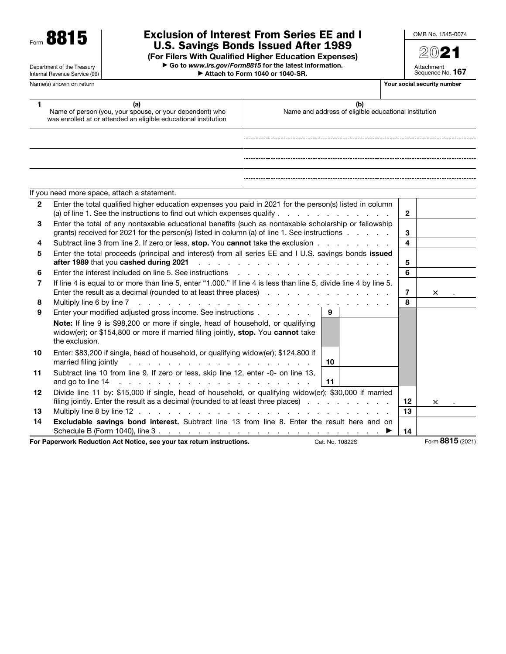Form 8815

Exclusion of Interest From Series EE and I U.S. Savings Bonds Issued After 1989

(For Filers With Qualified Higher Education Expenses) ▶ Go to *www.irs.gov/Form8815* for the latest information.

▶ Attach to Form 1040 or 1040-SR.

2021 Attachment<br>Sequence No. **167** 

Department of the Treasury Internal Revenue Service (99)  $Name(s)$  shown on return  $\overline{y}$ 

| Your social security number |  |  |
|-----------------------------|--|--|
|-----------------------------|--|--|

| 1            | (a)<br>(b)<br>Name and address of eligible educational institution<br>Name of person (you, your spouse, or your dependent) who<br>was enrolled at or attended an eligible educational institution                                                                                                                                                                               |                         |                  |
|--------------|---------------------------------------------------------------------------------------------------------------------------------------------------------------------------------------------------------------------------------------------------------------------------------------------------------------------------------------------------------------------------------|-------------------------|------------------|
|              |                                                                                                                                                                                                                                                                                                                                                                                 |                         |                  |
|              |                                                                                                                                                                                                                                                                                                                                                                                 |                         |                  |
|              |                                                                                                                                                                                                                                                                                                                                                                                 |                         |                  |
|              |                                                                                                                                                                                                                                                                                                                                                                                 |                         |                  |
|              | If you need more space, attach a statement.                                                                                                                                                                                                                                                                                                                                     |                         |                  |
| $\mathbf{2}$ | Enter the total qualified higher education expenses you paid in 2021 for the person(s) listed in column<br>(a) of line 1. See the instructions to find out which expenses qualify                                                                                                                                                                                               | $\mathbf{2}$            |                  |
| 3            | Enter the total of any nontaxable educational benefits (such as nontaxable scholarship or fellowship<br>grants) received for 2021 for the person(s) listed in column (a) of line 1. See instructions                                                                                                                                                                            | 3                       |                  |
| 4            | Subtract line 3 from line 2. If zero or less, stop. You cannot take the exclusion                                                                                                                                                                                                                                                                                               | $\overline{\mathbf{4}}$ |                  |
| 5            | Enter the total proceeds (principal and interest) from all series EE and I U.S. savings bonds issued<br>after 1989 that you cashed during 2021<br>a construction of the construction of the construction of the construction of the construction of the construction of the construction of the construction of the construction of the construction of the construction of the | 5                       |                  |
| 6            | Enter the interest included on line 5. See instructions<br>the contract of the contract of the contract of the contract of the contract of the contract of the contract of                                                                                                                                                                                                      | 6                       |                  |
| 7            | If line 4 is equal to or more than line 5, enter "1.000." If line 4 is less than line 5, divide line 4 by line 5.<br>Enter the result as a decimal (rounded to at least three places)                                                                                                                                                                                           | $\overline{7}$          | ×                |
| 8            | Multiply line 6 by line 7                                                                                                                                                                                                                                                                                                                                                       | 8                       |                  |
| 9            | Enter your modified adjusted gross income. See instructions<br>9                                                                                                                                                                                                                                                                                                                |                         |                  |
|              | Note: If line 9 is \$98,200 or more if single, head of household, or qualifying<br>widow(er); or \$154,800 or more if married filing jointly, stop. You cannot take<br>the exclusion.                                                                                                                                                                                           |                         |                  |
| 10           | Enter: \$83,200 if single, head of household, or qualifying widow(er); \$124,800 if<br>married filing jointly<br>10<br>and the contract of the contract of the contract of the contract of the contract of the contract of the contract of the contract of the contract of the contract of the contract of the contract of the contract of the contra                           |                         |                  |
| 11           | Subtract line 10 from line 9. If zero or less, skip line 12, enter -0- on line 13,<br>11<br>and go to line 14                                                                                                                                                                                                                                                                   |                         |                  |
| 12           | Divide line 11 by: \$15,000 if single, head of household, or qualifying widow(er); \$30,000 if married<br>filing jointly. Enter the result as a decimal (rounded to at least three places)                                                                                                                                                                                      | 12                      | ×                |
| 13           | Multiply line 8 by line 12 $\ldots$ $\ldots$ $\ldots$ $\ldots$ $\ldots$ $\ldots$ $\ldots$ $\ldots$ $\ldots$                                                                                                                                                                                                                                                                     | 13                      |                  |
| 14           | Excludable savings bond interest. Subtract line 13 from line 8. Enter the result here and on                                                                                                                                                                                                                                                                                    | 14                      |                  |
|              | For Paperwork Reduction Act Notice, see your tax return instructions.<br>Cat. No. 10822S                                                                                                                                                                                                                                                                                        |                         | Form 8815 (2021) |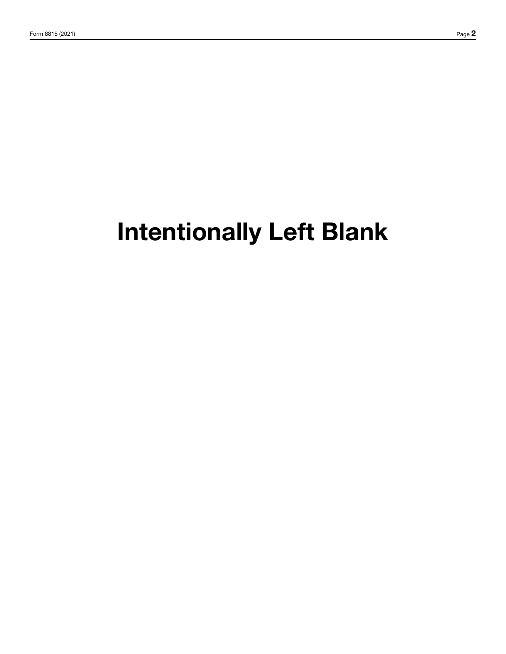# Intentionally Left Blank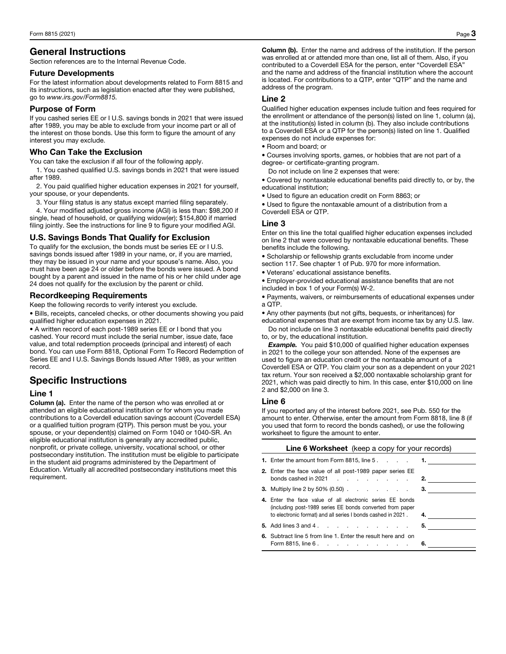# General Instructions

Section references are to the Internal Revenue Code.

## Future Developments

For the latest information about developments related to Form 8815 and its instructions, such as legislation enacted after they were published, go to *www.irs.gov/Form8815.*

## Purpose of Form

If you cashed series EE or I U.S. savings bonds in 2021 that were issued after 1989, you may be able to exclude from your income part or all of the interest on those bonds. Use this form to figure the amount of any interest you may exclude.

# Who Can Take the Exclusion

You can take the exclusion if all four of the following apply.

1. You cashed qualified U.S. savings bonds in 2021 that were issued after 1989.

2. You paid qualified higher education expenses in 2021 for yourself, your spouse, or your dependents.

3. Your filing status is any status except married filing separately.

4. Your modified adjusted gross income (AGI) is less than: \$98,200 if single, head of household, or qualifying widow(er); \$154,800 if married filing jointly. See the instructions for line 9 to figure your modified AGI.

## U.S. Savings Bonds That Qualify for Exclusion

To qualify for the exclusion, the bonds must be series EE or I U.S. savings bonds issued after 1989 in your name, or, if you are married, they may be issued in your name and your spouse's name. Also, you must have been age 24 or older before the bonds were issued. A bond bought by a parent and issued in the name of his or her child under age 24 does not qualify for the exclusion by the parent or child.

## Recordkeeping Requirements

Keep the following records to verify interest you exclude.

• Bills, receipts, canceled checks, or other documents showing you paid qualified higher education expenses in 2021.

• A written record of each post-1989 series EE or I bond that you cashed. Your record must include the serial number, issue date, face value, and total redemption proceeds (principal and interest) of each bond. You can use Form 8818, Optional Form To Record Redemption of Series EE and I U.S. Savings Bonds Issued After 1989, as your written record.

# Specific Instructions

## Line 1

Column (a). Enter the name of the person who was enrolled at or attended an eligible educational institution or for whom you made contributions to a Coverdell education savings account (Coverdell ESA) or a qualified tuition program (QTP). This person must be you, your spouse, or your dependent(s) claimed on Form 1040 or 1040-SR. An eligible educational institution is generally any accredited public, nonprofit, or private college, university, vocational school, or other postsecondary institution. The institution must be eligible to participate in the student aid programs administered by the Department of Education. Virtually all accredited postsecondary institutions meet this requirement.

Column (b). Enter the name and address of the institution. If the person was enrolled at or attended more than one, list all of them. Also, if you contributed to a Coverdell ESA for the person, enter "Coverdell ESA" and the name and address of the financial institution where the account is located. For contributions to a QTP, enter "QTP" and the name and address of the program.

### Line 2

Qualified higher education expenses include tuition and fees required for the enrollment or attendance of the person(s) listed on line 1, column (a), at the institution(s) listed in column (b). They also include contributions to a Coverdell ESA or a QTP for the person(s) listed on line 1. Qualified expenses do not include expenses for:

• Room and board; or

• Courses involving sports, games, or hobbies that are not part of a degree- or certificate-granting program.

Do not include on line 2 expenses that were:

• Covered by nontaxable educational benefits paid directly to, or by, the educational institution;

• Used to figure an education credit on Form 8863; or

• Used to figure the nontaxable amount of a distribution from a Coverdell ESA or QTP.

## Line 3

Enter on this line the total qualified higher education expenses included on line 2 that were covered by nontaxable educational benefits. These benefits include the following.

• Scholarship or fellowship grants excludable from income under section 117. See chapter 1 of Pub. 970 for more information.

• Veterans' educational assistance benefits.

• Employer-provided educational assistance benefits that are not included in box 1 of your Form(s) W-2.

• Payments, waivers, or reimbursements of educational expenses under a QTP.

• Any other payments (but not gifts, bequests, or inheritances) for educational expenses that are exempt from income tax by any U.S. law.

Do not include on line 3 nontaxable educational benefits paid directly to, or by, the educational institution.

*Example.* You paid \$10,000 of qualified higher education expenses in 2021 to the college your son attended. None of the expenses are used to figure an education credit or the nontaxable amount of a Coverdell ESA or QTP. You claim your son as a dependent on your 2021 tax return. Your son received a \$2,000 nontaxable scholarship grant for 2021, which was paid directly to him. In this case, enter \$10,000 on line 2 and \$2,000 on line 3.

## Line 6

If you reported any of the interest before 2021, see Pub. 550 for the amount to enter. Otherwise, enter the amount from Form 8818, line 8 (if you used that form to record the bonds cashed), or use the following worksheet to figure the amount to enter.

| <b>Line 6 Worksheet</b> (keep a copy for your records)                                                                                                                                    |    |
|-------------------------------------------------------------------------------------------------------------------------------------------------------------------------------------------|----|
| <b>1.</b> Enter the amount from Form 8815, line 5. <b>1.</b>                                                                                                                              |    |
| <b>2.</b> Enter the face value of all post-1989 paper series EE                                                                                                                           | 2. |
| <b>3.</b> Multiply line 2 by 50% (0.50) 3.                                                                                                                                                |    |
| 4. Enter the face value of all electronic series EE bonds<br>(including post-1989 series EE bonds converted from paper<br>to electronic format) and all series I bonds cashed in 2021. 4. |    |
|                                                                                                                                                                                           | 5. |
| 6. Subtract line 5 from line 1. Enter the result here and on                                                                                                                              | 6. |